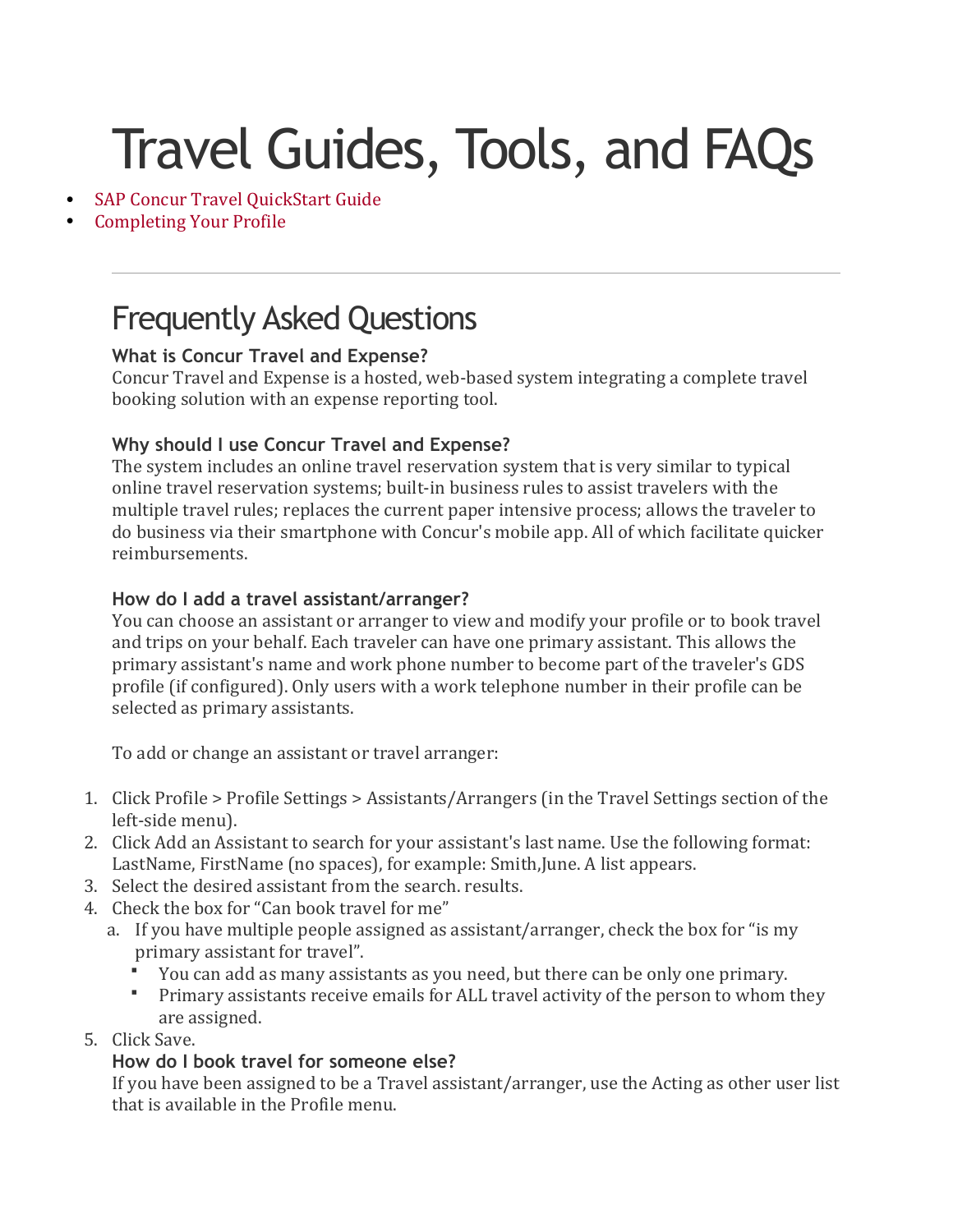# Travel Guides, Tools, and FAQs

- [SAP Concur Travel QuickStart Guide](https://www.fordham.edu/download/downloads/id/10922/sap_concur_travel_quickstart_guide.pdf)
- [Completing Your Profile](https://www.fordham.edu/download/downloads/id/10916/Concur_Travel___Completing_Your_Profile.pdf)

## Frequently Asked Questions

## **What is Concur Travel and Expense?**

Concur Travel and Expense is a hosted, web-based system integrating a complete travel booking solution with an expense reporting tool.

## **Why should I use Concur Travel and Expense?**

The system includes an online travel reservation system that is very similar to typical online travel reservation systems; built-in business rules to assist travelers with the multiple travel rules; replaces the current paper intensive process; allows the traveler to do business via their smartphone with Concur's mobile app. All of which facilitate quicker reimbursements.

## **How do I add a travel assistant/arranger?**

You can choose an assistant or arranger to view and modify your profile or to book travel and trips on your behalf. Each traveler can have one primary assistant. This allows the primary assistant's name and work phone number to become part of the traveler's GDS profile (if configured). Only users with a work telephone number in their profile can be selected as primary assistants.

To add or change an assistant or travel arranger:

- 1. Click Profile > Profile Settings > Assistants/Arrangers (in the Travel Settings section of the left-side menu).
- 2. Click Add an Assistant to search for your assistant's last name. Use the following format: LastName, FirstName (no spaces), for example: Smith,June. A list appears.
- 3. Select the desired assistant from the search. results.
- 4. Check the box for "Can book travel for me"
	- a. If you have multiple people assigned as assistant/arranger, check the box for "is my primary assistant for travel".
		- You can add as many assistants as you need, but there can be only one primary.
		- Primary assistants receive emails for ALL travel activity of the person to whom they are assigned.
- 5. Click Save.

## **How do I book travel for someone else?**

If you have been assigned to be a Travel assistant/arranger, use the Acting as other user list that is available in the Profile menu.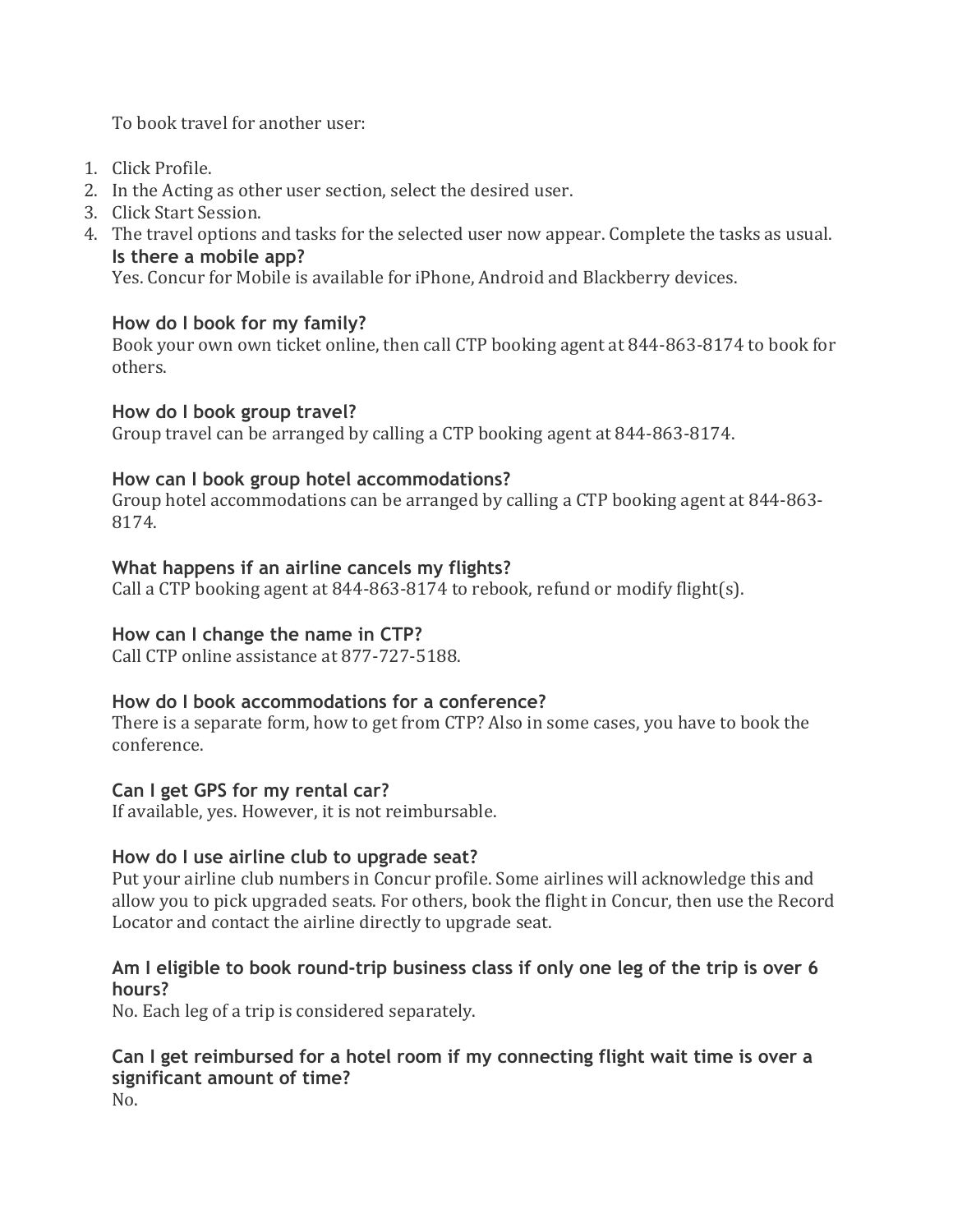To book travel for another user:

- 1. Click Profile.
- 2. In the Acting as other user section, select the desired user.
- 3. Click Start Session.
- 4. The travel options and tasks for the selected user now appear. Complete the tasks as usual. **Is there a mobile app?**

Yes. Concur for Mobile is available for iPhone, Android and Blackberry devices.

## **How do I book for my family?**

Book your own own ticket online, then call CTP booking agent at 844-863-8174 to book for others.

## **How do I book group travel?**

Group travel can be arranged by calling a CTP booking agent at 844-863-8174.

## **How can I book group hotel accommodations?**

Group hotel accommodations can be arranged by calling a CTP booking agent at 844-863- 8174.

## **What happens if an airline cancels my flights?**

Call a CTP booking agent at 844-863-8174 to rebook, refund or modify flight(s).

## **How can I change the name in CTP?**

Call CTP online assistance at 877-727-5188.

## **How do I book accommodations for a conference?**

There is a separate form, how to get from CTP? Also in some cases, you have to book the conference.

## **Can I get GPS for my rental car?**

If available, yes. However, it is not reimbursable.

## **How do I use airline club to upgrade seat?**

Put your airline club numbers in Concur profile. Some airlines will acknowledge this and allow you to pick upgraded seats. For others, book the flight in Concur, then use the Record Locator and contact the airline directly to upgrade seat.

## **Am I eligible to book round-trip business class if only one leg of the trip is over 6 hours?**

No. Each leg of a trip is considered separately.

#### **Can I get reimbursed for a hotel room if my connecting flight wait time is over a significant amount of time?**

No.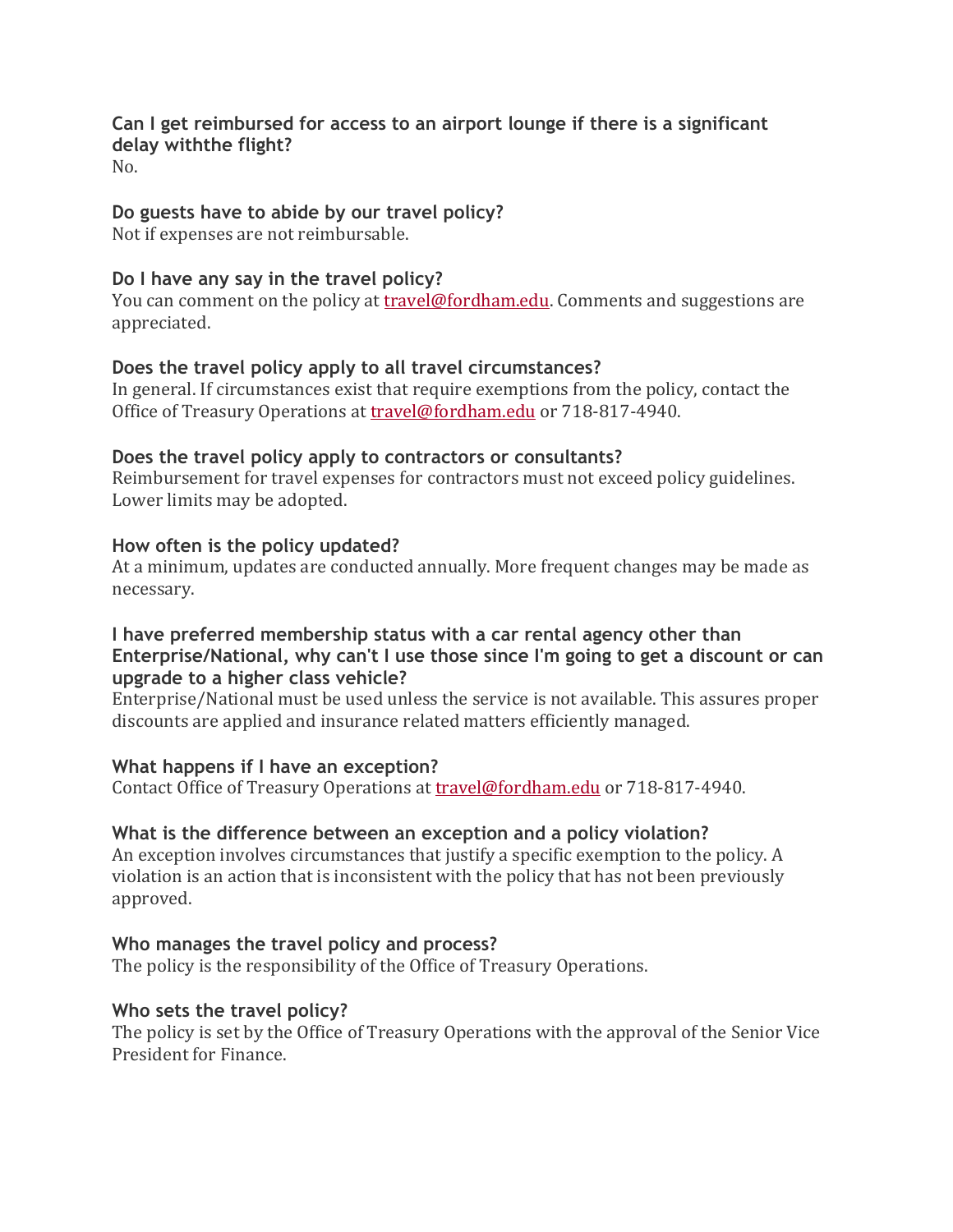## **Can I get reimbursed for access to an airport lounge if there is a significant delay withthe flight?**

No.

## **Do guests have to abide by our travel policy?**

Not if expenses are not reimbursable.

## **Do I have any say in the travel policy?**

You can comment on the policy at [travel@fordham.edu.](mailto:travel@fordham.edu) Comments and suggestions are appreciated.

## **Does the travel policy apply to all travel circumstances?**

In general. If circumstances exist that require exemptions from the policy, contact the Office of Treasury Operations at [travel@fordham.edu](mailto:travel@fordham.edu) or 718-817-4940.

## **Does the travel policy apply to contractors or consultants?**

Reimbursement for travel expenses for contractors must not exceed policy guidelines. Lower limits may be adopted.

## **How often is the policy updated?**

At a minimum, updates are conducted annually. More frequent changes may be made as necessary.

## **I have preferred membership status with a car rental agency other than Enterprise/National, why can't I use those since I'm going to get a discount or can upgrade to a higher class vehicle?**

Enterprise/National must be used unless the service is not available. This assures proper discounts are applied and insurance related matters efficiently managed.

## **What happens if I have an exception?**

Contact Office of Treasury Operations at [travel@fordham.edu](mailto:travel@fordham.edu) or 718-817-4940.

## **What is the difference between an exception and a policy violation?**

An exception involves circumstances that justify a specific exemption to the policy. A violation is an action that is inconsistent with the policy that has not been previously approved.

## **Who manages the travel policy and process?**

The policy is the responsibility of the Office of Treasury Operations.

## **Who sets the travel policy?**

The policy is set by the Office of Treasury Operations with the approval of the Senior Vice President for Finance.